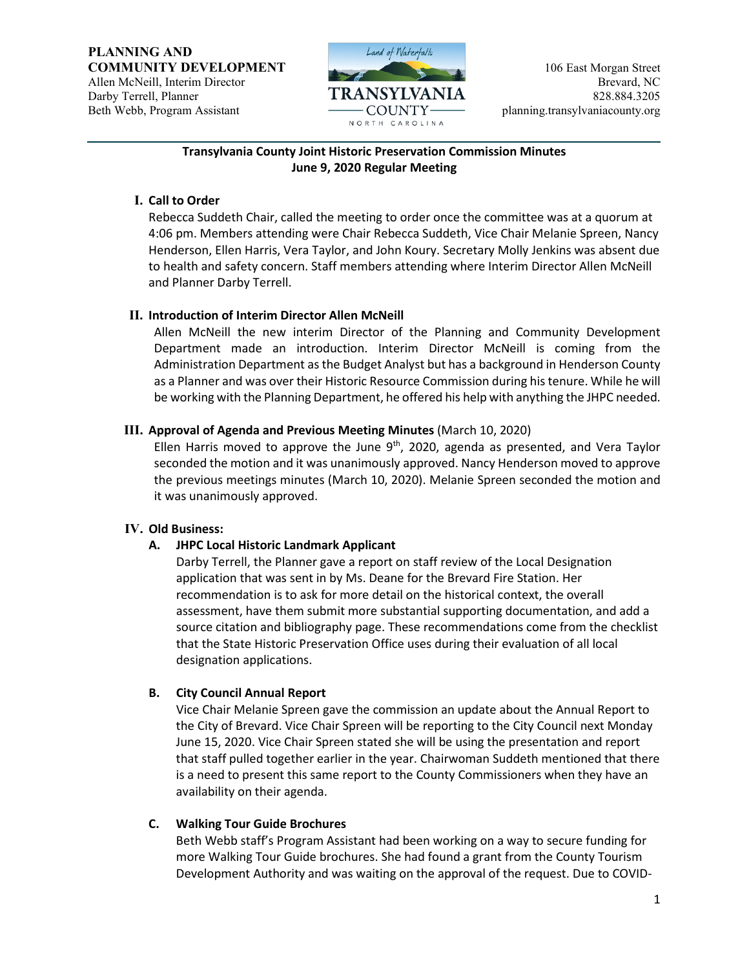

#### **Transylvania County Joint Historic Preservation Commission Minutes June 9, 2020 Regular Meeting**

### **I. Call to Order**

Rebecca Suddeth Chair, called the meeting to order once the committee was at a quorum at 4:06 pm. Members attending were Chair Rebecca Suddeth, Vice Chair Melanie Spreen, Nancy Henderson, Ellen Harris, Vera Taylor, and John Koury. Secretary Molly Jenkins was absent due to health and safety concern. Staff members attending where Interim Director Allen McNeill and Planner Darby Terrell.

### **II. Introduction of Interim Director Allen McNeill**

Allen McNeill the new interim Director of the Planning and Community Development Department made an introduction. Interim Director McNeill is coming from the Administration Department as the Budget Analyst but has a background in Henderson County as a Planner and was over their Historic Resource Commission during his tenure. While he will be working with the Planning Department, he offered his help with anything the JHPC needed.

### **III. Approval of Agenda and Previous Meeting Minutes** (March 10, 2020)

Ellen Harris moved to approve the June  $9<sup>th</sup>$ , 2020, agenda as presented, and Vera Taylor seconded the motion and it was unanimously approved. Nancy Henderson moved to approve the previous meetings minutes (March 10, 2020). Melanie Spreen seconded the motion and it was unanimously approved.

### **IV. Old Business:**

# **A. JHPC Local Historic Landmark Applicant**

Darby Terrell, the Planner gave a report on staff review of the Local Designation application that was sent in by Ms. Deane for the Brevard Fire Station. Her recommendation is to ask for more detail on the historical context, the overall assessment, have them submit more substantial supporting documentation, and add a source citation and bibliography page. These recommendations come from the checklist that the State Historic Preservation Office uses during their evaluation of all local designation applications.

# **B. City Council Annual Report**

Vice Chair Melanie Spreen gave the commission an update about the Annual Report to the City of Brevard. Vice Chair Spreen will be reporting to the City Council next Monday June 15, 2020. Vice Chair Spreen stated she will be using the presentation and report that staff pulled together earlier in the year. Chairwoman Suddeth mentioned that there is a need to present this same report to the County Commissioners when they have an availability on their agenda.

### **C. Walking Tour Guide Brochures**

Beth Webb staff's Program Assistant had been working on a way to secure funding for more Walking Tour Guide brochures. She had found a grant from the County Tourism Development Authority and was waiting on the approval of the request. Due to COVID-